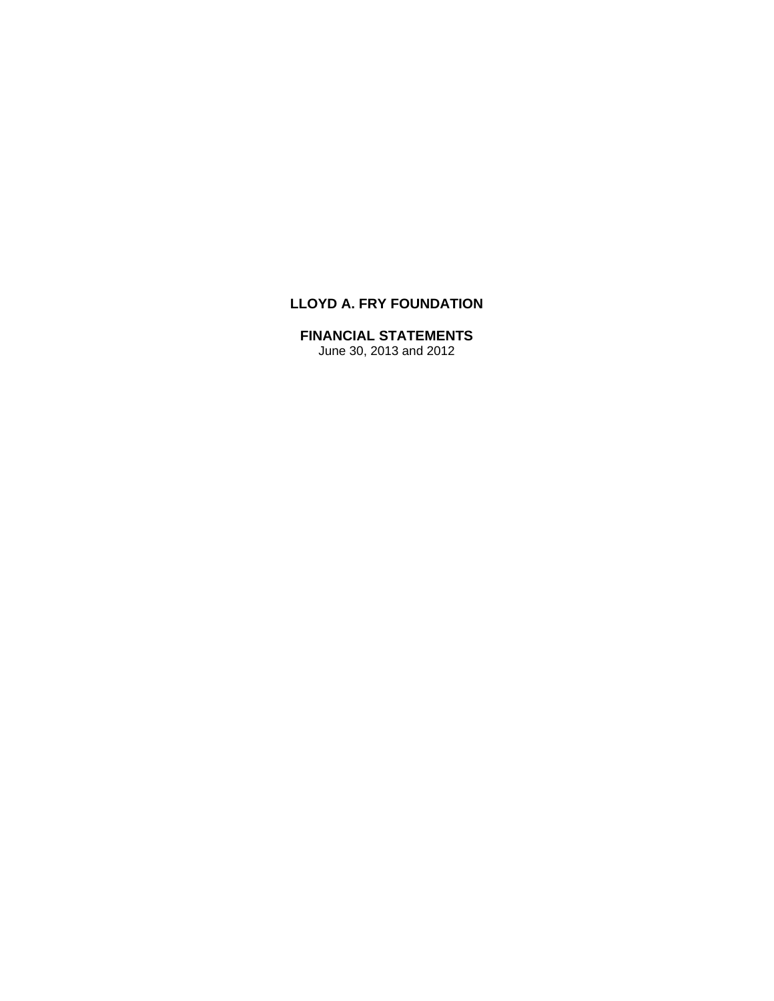# **LLOYD A. FRY FOUNDATION**

# **FINANCIAL STATEMENTS**

June 30, 2013 and 2012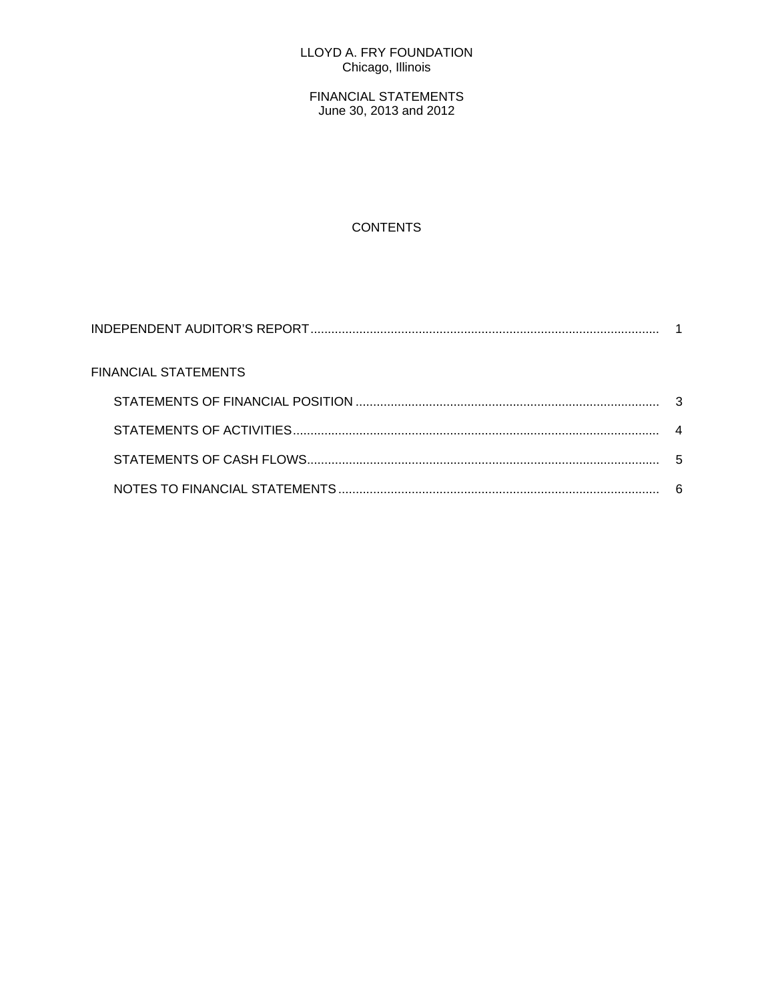### LLOYD A. FRY FOUNDATION Chicago, Illinois

FINANCIAL STATEMENTS June 30, 2013 and 2012

# **CONTENTS**

| FINANCIAL STATEMENTS |   |
|----------------------|---|
|                      |   |
|                      |   |
|                      | 5 |
|                      |   |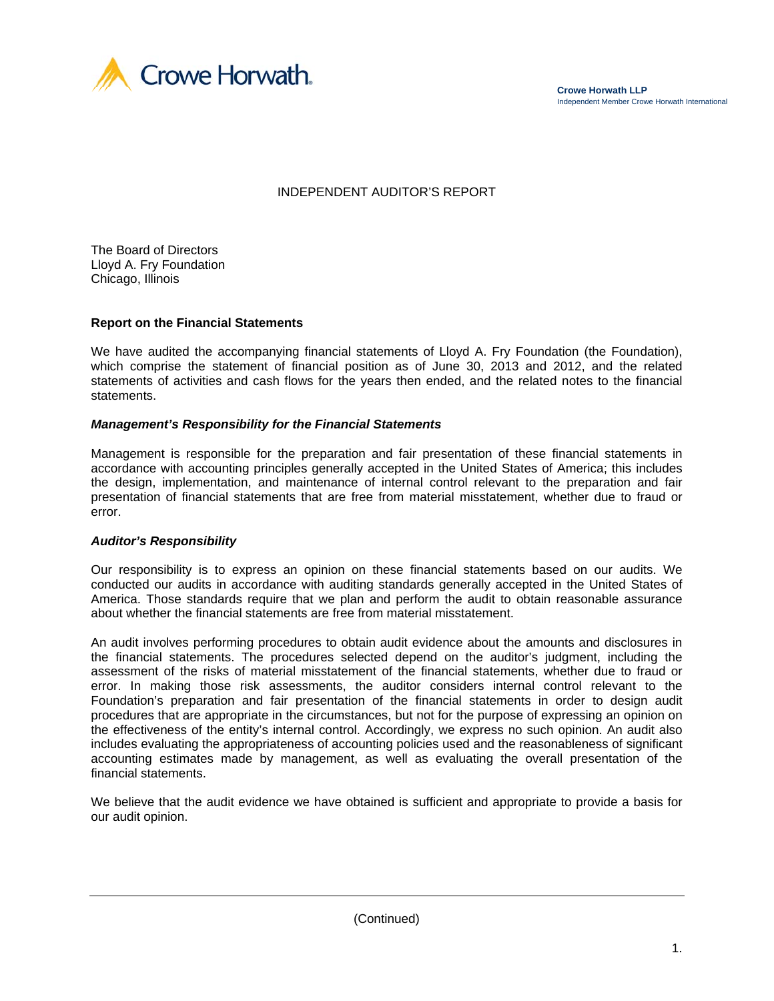

**Crowe Horwath LLP** Independent Member Crowe Horwath International

# INDEPENDENT AUDITOR'S REPORT

The Board of Directors Lloyd A. Fry Foundation Chicago, Illinois

#### **Report on the Financial Statements**

We have audited the accompanying financial statements of Lloyd A. Fry Foundation (the Foundation), which comprise the statement of financial position as of June 30, 2013 and 2012, and the related statements of activities and cash flows for the years then ended, and the related notes to the financial statements.

#### *Management's Responsibility for the Financial Statements*

Management is responsible for the preparation and fair presentation of these financial statements in accordance with accounting principles generally accepted in the United States of America; this includes the design, implementation, and maintenance of internal control relevant to the preparation and fair presentation of financial statements that are free from material misstatement, whether due to fraud or error.

#### *Auditor's Responsibility*

Our responsibility is to express an opinion on these financial statements based on our audits. We conducted our audits in accordance with auditing standards generally accepted in the United States of America. Those standards require that we plan and perform the audit to obtain reasonable assurance about whether the financial statements are free from material misstatement.

An audit involves performing procedures to obtain audit evidence about the amounts and disclosures in the financial statements. The procedures selected depend on the auditor's judgment, including the assessment of the risks of material misstatement of the financial statements, whether due to fraud or error. In making those risk assessments, the auditor considers internal control relevant to the Foundation's preparation and fair presentation of the financial statements in order to design audit procedures that are appropriate in the circumstances, but not for the purpose of expressing an opinion on the effectiveness of the entity's internal control. Accordingly, we express no such opinion. An audit also includes evaluating the appropriateness of accounting policies used and the reasonableness of significant accounting estimates made by management, as well as evaluating the overall presentation of the financial statements.

We believe that the audit evidence we have obtained is sufficient and appropriate to provide a basis for our audit opinion.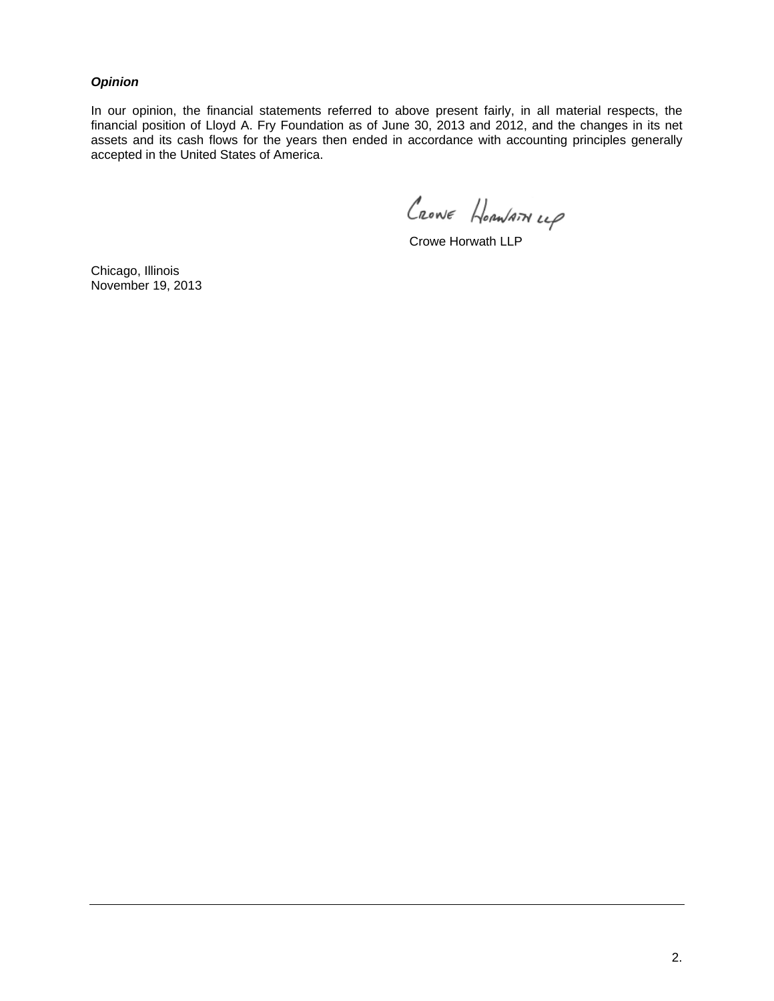#### *Opinion*

In our opinion, the financial statements referred to above present fairly, in all material respects, the financial position of Lloyd A. Fry Foundation as of June 30, 2013 and 2012, and the changes in its net assets and its cash flows for the years then ended in accordance with accounting principles generally accepted in the United States of America.

CRONE HORNATHLLP

Crowe Horwath LLP

Chicago, Illinois November 19, 2013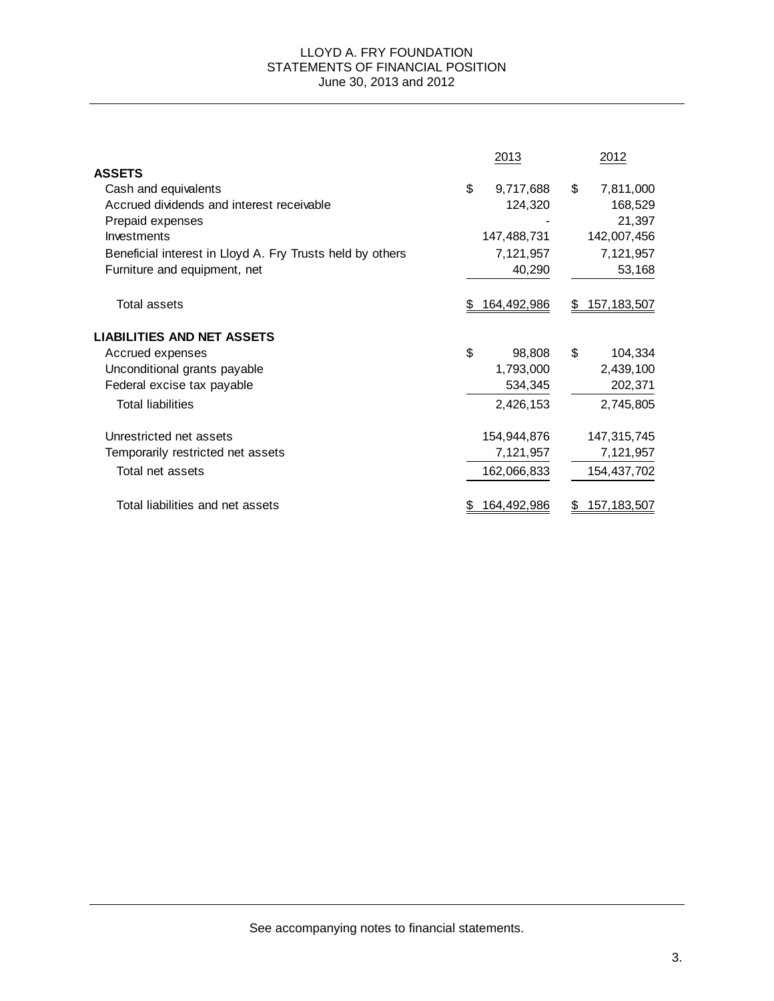#### LLOYD A. FRY FOUNDATION STATEMENTS OF FINANCIAL POSITION June 30, 2013 and 2012

|                                                           | 2013               |    | 2012               |
|-----------------------------------------------------------|--------------------|----|--------------------|
| <b>ASSETS</b>                                             |                    |    |                    |
| Cash and equivalents                                      | \$<br>9,717,688    | \$ | 7,811,000          |
| Accrued dividends and interest receivable                 | 124,320            |    | 168,529            |
| Prepaid expenses                                          |                    |    | 21,397             |
| Investments                                               | 147,488,731        |    | 142,007,456        |
| Beneficial interest in Lloyd A. Fry Trusts held by others | 7,121,957          |    | 7,121,957          |
| Furniture and equipment, net                              | 40,290             |    | 53,168             |
| <b>Total assets</b>                                       | 164,492,986        | S. | 157, 183, 507      |
| <b>LIABILITIES AND NET ASSETS</b>                         |                    |    |                    |
| Accrued expenses                                          | \$<br>98,808       | \$ | 104,334            |
| Unconditional grants payable                              | 1,793,000          |    | 2,439,100          |
| Federal excise tax payable                                | 534,345            |    | 202,371            |
| <b>Total liabilities</b>                                  | 2,426,153          |    | 2,745,805          |
| Unrestricted net assets                                   | 154,944,876        |    | 147,315,745        |
| Temporarily restricted net assets                         | 7,121,957          |    | 7,121,957          |
| Total net assets                                          | 162,066,833        |    | 154,437,702        |
| Total liabilities and net assets                          | <u>164,492,986</u> |    | <u>157,183,507</u> |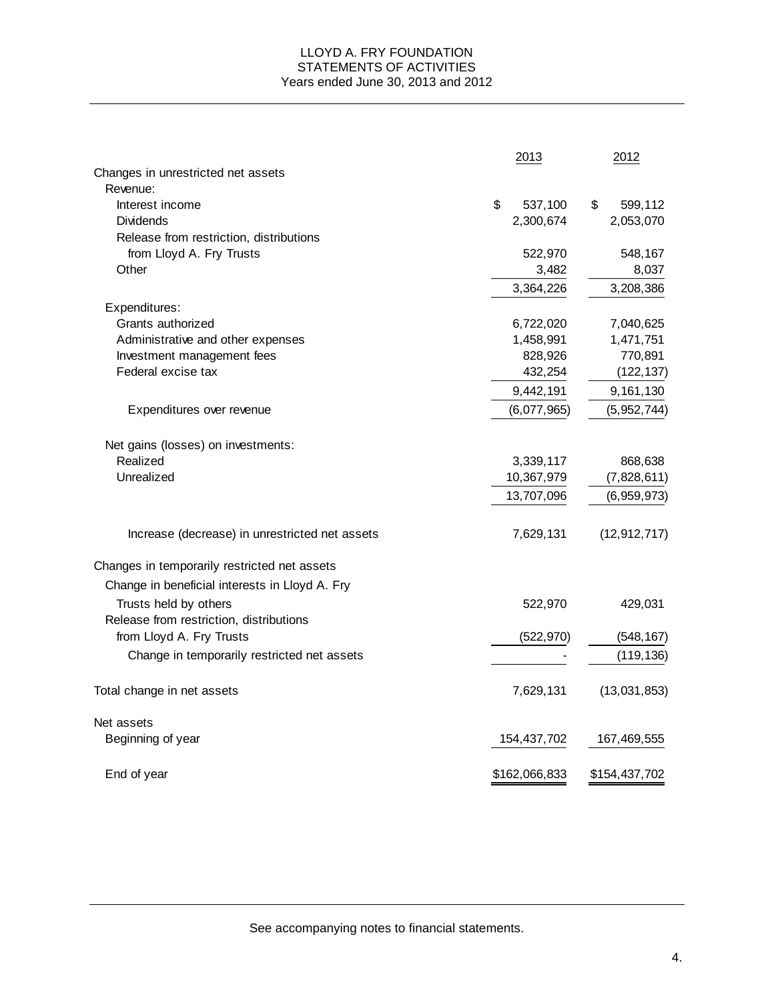#### LLOYD A. FRY FOUNDATION STATEMENTS OF ACTIVITIES Years ended June 30, 2013 and 2012

|                                                | 2013          | 2012           |
|------------------------------------------------|---------------|----------------|
| Changes in unrestricted net assets             |               |                |
| Revenue:                                       |               |                |
| Interest income                                | \$<br>537,100 | \$<br>599,112  |
| <b>Dividends</b>                               | 2,300,674     | 2,053,070      |
| Release from restriction, distributions        |               |                |
| from Lloyd A. Fry Trusts                       | 522,970       | 548,167        |
| Other                                          | 3,482         | 8,037          |
|                                                | 3,364,226     | 3,208,386      |
| Expenditures:                                  |               |                |
| Grants authorized                              | 6,722,020     | 7,040,625      |
| Administrative and other expenses              | 1,458,991     | 1,471,751      |
| Investment management fees                     | 828,926       | 770,891        |
| Federal excise tax                             | 432,254       | (122, 137)     |
|                                                | 9,442,191     | 9,161,130      |
| Expenditures over revenue                      | (6,077,965)   | (5,952,744)    |
| Net gains (losses) on investments:             |               |                |
| Realized                                       | 3,339,117     | 868,638        |
| Unrealized                                     | 10,367,979    | (7,828,611)    |
|                                                |               |                |
|                                                | 13,707,096    | (6,959,973)    |
| Increase (decrease) in unrestricted net assets | 7,629,131     | (12, 912, 717) |
| Changes in temporarily restricted net assets   |               |                |
| Change in beneficial interests in Lloyd A. Fry |               |                |
| Trusts held by others                          | 522,970       | 429,031        |
| Release from restriction, distributions        |               |                |
| from Lloyd A. Fry Trusts                       | (522, 970)    | (548, 167)     |
| Change in temporarily restricted net assets    |               | (119, 136)     |
| Total change in net assets                     | 7,629,131     | (13,031,853)   |
| Net assets                                     |               |                |
| Beginning of year                              | 154,437,702   | 167,469,555    |
| End of year                                    | \$162,066,833 | \$154,437,702  |

See accompanying notes to financial statements.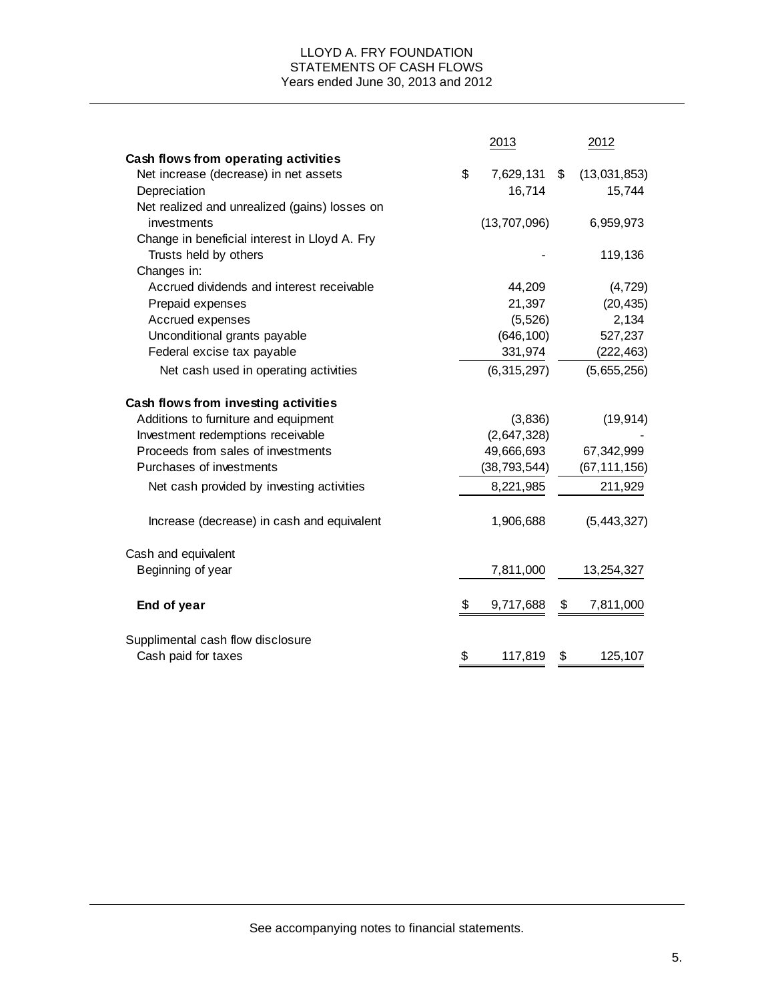### LLOYD A. FRY FOUNDATION STATEMENTS OF CASH FLOWS Years ended June 30, 2013 and 2012

|                                               | 2013            | 2012               |
|-----------------------------------------------|-----------------|--------------------|
| Cash flows from operating activities          |                 |                    |
| Net increase (decrease) in net assets         | \$<br>7,629,131 | \$<br>(13,031,853) |
| Depreciation                                  | 16,714          | 15,744             |
| Net realized and unrealized (gains) losses on |                 |                    |
| investments                                   | (13,707,096)    | 6,959,973          |
| Change in beneficial interest in Lloyd A. Fry |                 |                    |
| Trusts held by others                         |                 | 119,136            |
| Changes in:                                   |                 |                    |
| Accrued dividends and interest receivable     | 44,209          | (4, 729)           |
| Prepaid expenses                              | 21,397          | (20, 435)          |
| Accrued expenses                              | (5, 526)        | 2,134              |
| Unconditional grants payable                  | (646, 100)      | 527,237            |
| Federal excise tax payable                    | 331,974         | (222, 463)         |
| Net cash used in operating activities         | (6,315,297)     | (5,655,256)        |
| Cash flows from investing activities          |                 |                    |
| Additions to furniture and equipment          | (3,836)         | (19, 914)          |
| Investment redemptions receivable             | (2,647,328)     |                    |
| Proceeds from sales of investments            | 49,666,693      | 67,342,999         |
| Purchases of investments                      | (38, 793, 544)  | (67, 111, 156)     |
| Net cash provided by investing activities     | 8,221,985       | 211,929            |
| Increase (decrease) in cash and equivalent    | 1,906,688       | (5,443,327)        |
| Cash and equivalent                           |                 |                    |
| Beginning of year                             | 7,811,000       | 13,254,327         |
| End of year                                   | \$<br>9,717,688 | \$<br>7,811,000    |
| Supplimental cash flow disclosure             |                 |                    |
| Cash paid for taxes                           | \$<br>117,819   | \$<br>125,107      |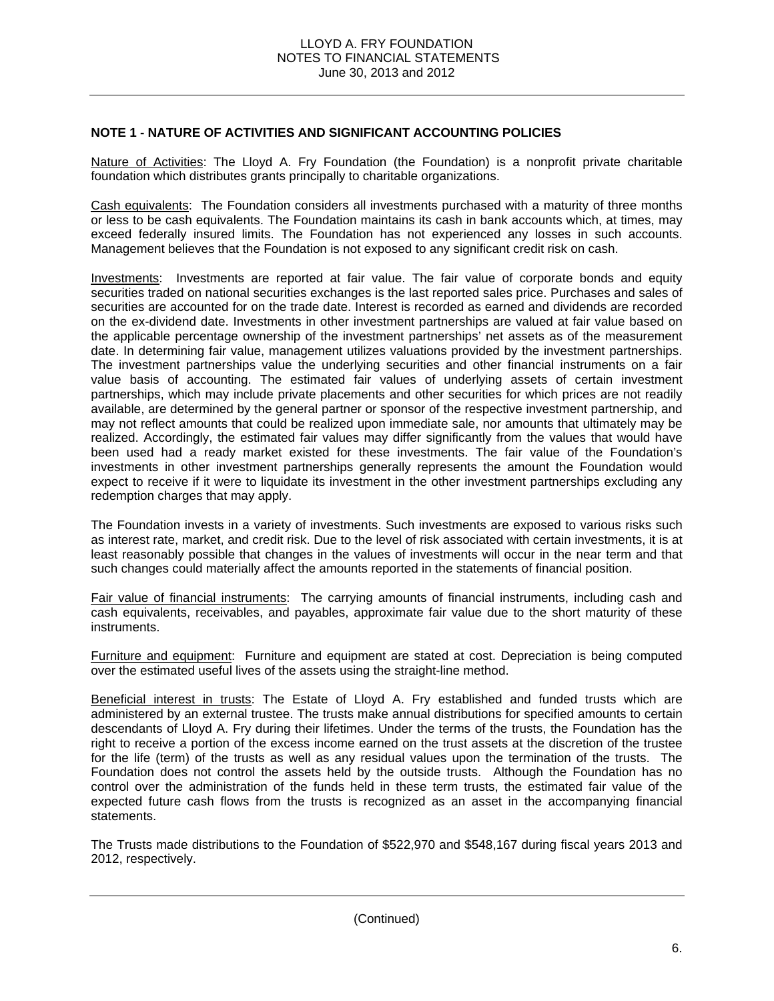### **NOTE 1 - NATURE OF ACTIVITIES AND SIGNIFICANT ACCOUNTING POLICIES**

Nature of Activities: The Lloyd A. Fry Foundation (the Foundation) is a nonprofit private charitable foundation which distributes grants principally to charitable organizations.

Cash equivalents: The Foundation considers all investments purchased with a maturity of three months or less to be cash equivalents. The Foundation maintains its cash in bank accounts which, at times, may exceed federally insured limits. The Foundation has not experienced any losses in such accounts. Management believes that the Foundation is not exposed to any significant credit risk on cash.

Investments: Investments are reported at fair value. The fair value of corporate bonds and equity securities traded on national securities exchanges is the last reported sales price. Purchases and sales of securities are accounted for on the trade date. Interest is recorded as earned and dividends are recorded on the ex-dividend date. Investments in other investment partnerships are valued at fair value based on the applicable percentage ownership of the investment partnerships' net assets as of the measurement date. In determining fair value, management utilizes valuations provided by the investment partnerships. The investment partnerships value the underlying securities and other financial instruments on a fair value basis of accounting. The estimated fair values of underlying assets of certain investment partnerships, which may include private placements and other securities for which prices are not readily available, are determined by the general partner or sponsor of the respective investment partnership, and may not reflect amounts that could be realized upon immediate sale, nor amounts that ultimately may be realized. Accordingly, the estimated fair values may differ significantly from the values that would have been used had a ready market existed for these investments. The fair value of the Foundation's investments in other investment partnerships generally represents the amount the Foundation would expect to receive if it were to liquidate its investment in the other investment partnerships excluding any redemption charges that may apply.

The Foundation invests in a variety of investments. Such investments are exposed to various risks such as interest rate, market, and credit risk. Due to the level of risk associated with certain investments, it is at least reasonably possible that changes in the values of investments will occur in the near term and that such changes could materially affect the amounts reported in the statements of financial position.

Fair value of financial instruments: The carrying amounts of financial instruments, including cash and cash equivalents, receivables, and payables, approximate fair value due to the short maturity of these instruments.

Furniture and equipment: Furniture and equipment are stated at cost. Depreciation is being computed over the estimated useful lives of the assets using the straight-line method.

Beneficial interest in trusts: The Estate of Lloyd A. Fry established and funded trusts which are administered by an external trustee. The trusts make annual distributions for specified amounts to certain descendants of Lloyd A. Fry during their lifetimes. Under the terms of the trusts, the Foundation has the right to receive a portion of the excess income earned on the trust assets at the discretion of the trustee for the life (term) of the trusts as well as any residual values upon the termination of the trusts. The Foundation does not control the assets held by the outside trusts. Although the Foundation has no control over the administration of the funds held in these term trusts, the estimated fair value of the expected future cash flows from the trusts is recognized as an asset in the accompanying financial statements.

The Trusts made distributions to the Foundation of \$522,970 and \$548,167 during fiscal years 2013 and 2012, respectively.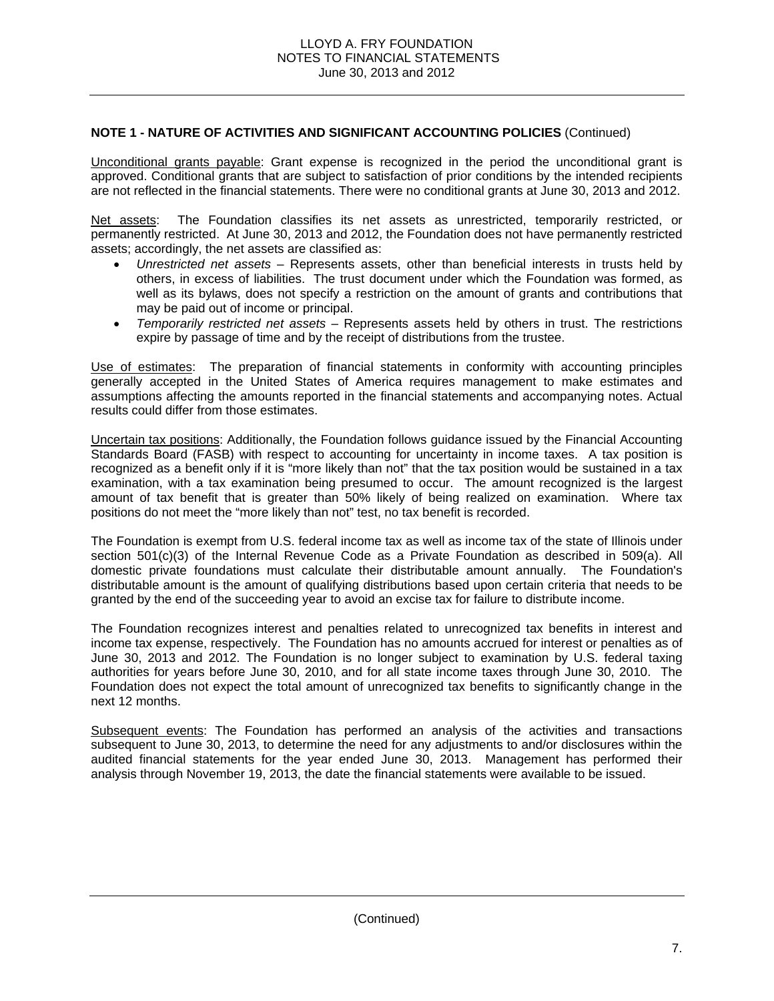# **NOTE 1 - NATURE OF ACTIVITIES AND SIGNIFICANT ACCOUNTING POLICIES** (Continued)

Unconditional grants payable: Grant expense is recognized in the period the unconditional grant is approved. Conditional grants that are subject to satisfaction of prior conditions by the intended recipients are not reflected in the financial statements. There were no conditional grants at June 30, 2013 and 2012.

Net assets: The Foundation classifies its net assets as unrestricted, temporarily restricted, or permanently restricted. At June 30, 2013 and 2012, the Foundation does not have permanently restricted assets; accordingly, the net assets are classified as:

- *Unrestricted net assets* Represents assets, other than beneficial interests in trusts held by others, in excess of liabilities. The trust document under which the Foundation was formed, as well as its bylaws, does not specify a restriction on the amount of grants and contributions that may be paid out of income or principal.
- *Temporarily restricted net assets*  Represents assets held by others in trust. The restrictions expire by passage of time and by the receipt of distributions from the trustee.

Use of estimates: The preparation of financial statements in conformity with accounting principles generally accepted in the United States of America requires management to make estimates and assumptions affecting the amounts reported in the financial statements and accompanying notes. Actual results could differ from those estimates.

Uncertain tax positions: Additionally, the Foundation follows guidance issued by the Financial Accounting Standards Board (FASB) with respect to accounting for uncertainty in income taxes. A tax position is recognized as a benefit only if it is "more likely than not" that the tax position would be sustained in a tax examination, with a tax examination being presumed to occur. The amount recognized is the largest amount of tax benefit that is greater than 50% likely of being realized on examination. Where tax positions do not meet the "more likely than not" test, no tax benefit is recorded.

The Foundation is exempt from U.S. federal income tax as well as income tax of the state of Illinois under section 501(c)(3) of the Internal Revenue Code as a Private Foundation as described in 509(a). All domestic private foundations must calculate their distributable amount annually. The Foundation's distributable amount is the amount of qualifying distributions based upon certain criteria that needs to be granted by the end of the succeeding year to avoid an excise tax for failure to distribute income.

The Foundation recognizes interest and penalties related to unrecognized tax benefits in interest and income tax expense, respectively. The Foundation has no amounts accrued for interest or penalties as of June 30, 2013 and 2012. The Foundation is no longer subject to examination by U.S. federal taxing authorities for years before June 30, 2010, and for all state income taxes through June 30, 2010. The Foundation does not expect the total amount of unrecognized tax benefits to significantly change in the next 12 months.

Subsequent events: The Foundation has performed an analysis of the activities and transactions subsequent to June 30, 2013, to determine the need for any adjustments to and/or disclosures within the audited financial statements for the year ended June 30, 2013. Management has performed their analysis through November 19, 2013, the date the financial statements were available to be issued.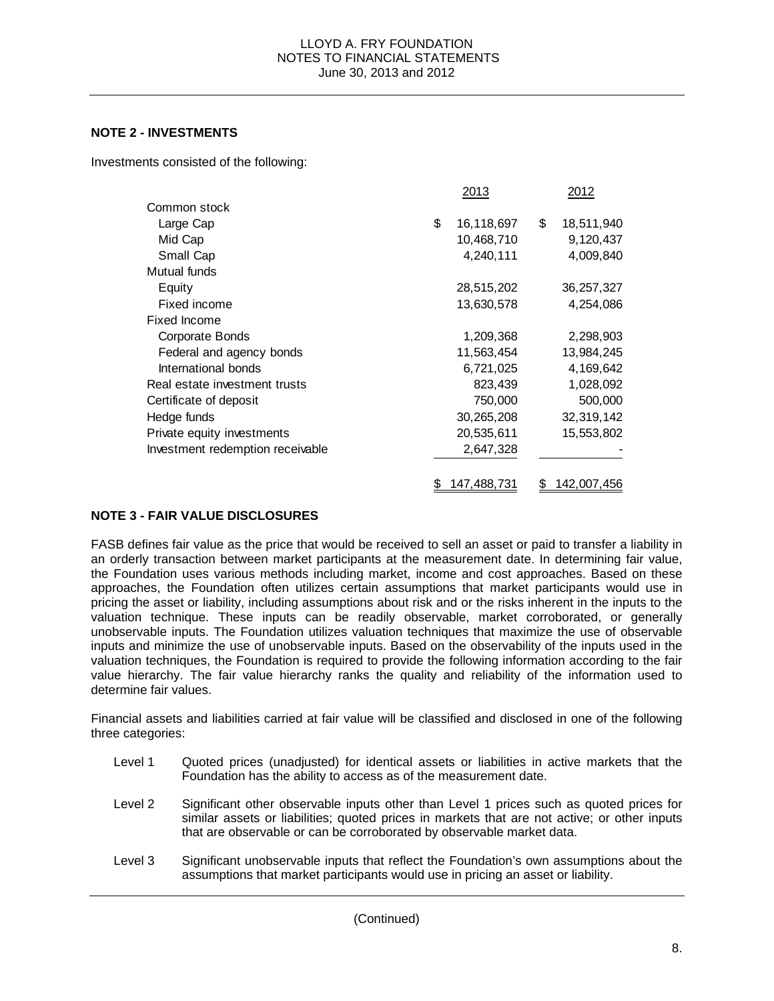## **NOTE 2 - INVESTMENTS**

Investments consisted of the following:

|                                  | 2013             | 2012             |
|----------------------------------|------------------|------------------|
| Common stock                     |                  |                  |
| Large Cap                        | \$<br>16,118,697 | \$<br>18,511,940 |
| Mid Cap                          | 10,468,710       | 9,120,437        |
| Small Cap                        | 4,240,111        | 4,009,840        |
| Mutual funds                     |                  |                  |
| Equity                           | 28,515,202       | 36, 257, 327     |
| Fixed income                     | 13,630,578       | 4,254,086        |
| <b>Fixed Income</b>              |                  |                  |
| Corporate Bonds                  | 1,209,368        | 2,298,903        |
| Federal and agency bonds         | 11,563,454       | 13,984,245       |
| International bonds              | 6,721,025        | 4,169,642        |
| Real estate investment trusts    | 823,439          | 1,028,092        |
| Certificate of deposit           | 750,000          | 500,000          |
| Hedge funds                      | 30,265,208       | 32,319,142       |
| Private equity investments       | 20,535,611       | 15,553,802       |
| Investment redemption receivable | 2,647,328        |                  |
|                                  |                  |                  |
|                                  | 147,488,731      | 142,007,456      |

# **NOTE 3 - FAIR VALUE DISCLOSURES**

FASB defines fair value as the price that would be received to sell an asset or paid to transfer a liability in an orderly transaction between market participants at the measurement date. In determining fair value, the Foundation uses various methods including market, income and cost approaches. Based on these approaches, the Foundation often utilizes certain assumptions that market participants would use in pricing the asset or liability, including assumptions about risk and or the risks inherent in the inputs to the valuation technique. These inputs can be readily observable, market corroborated, or generally unobservable inputs. The Foundation utilizes valuation techniques that maximize the use of observable inputs and minimize the use of unobservable inputs. Based on the observability of the inputs used in the valuation techniques, the Foundation is required to provide the following information according to the fair value hierarchy. The fair value hierarchy ranks the quality and reliability of the information used to determine fair values.

Financial assets and liabilities carried at fair value will be classified and disclosed in one of the following three categories:

- Level 1 Quoted prices (unadjusted) for identical assets or liabilities in active markets that the Foundation has the ability to access as of the measurement date.
- Level 2 Significant other observable inputs other than Level 1 prices such as quoted prices for similar assets or liabilities; quoted prices in markets that are not active; or other inputs that are observable or can be corroborated by observable market data.
- Level 3 Significant unobservable inputs that reflect the Foundation's own assumptions about the assumptions that market participants would use in pricing an asset or liability.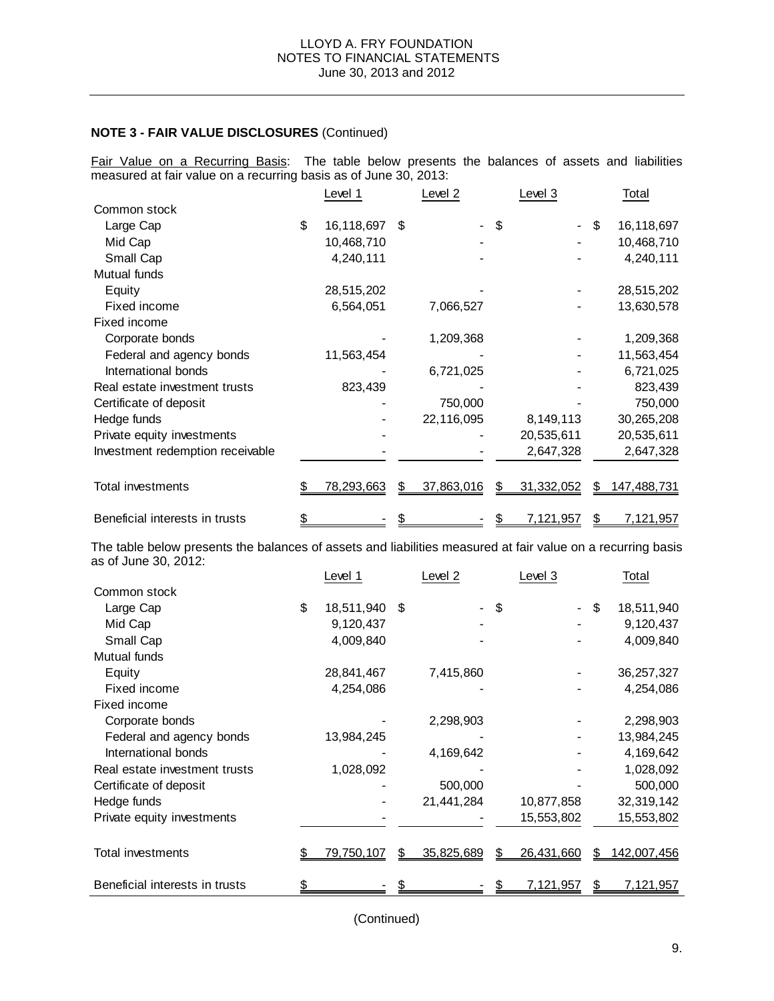Fair Value on a Recurring Basis: The table below presents the balances of assets and liabilities measured at fair value on a recurring basis as of June 30, 2013:

|                                  | Level 1           |    | Level 2    |    | Level 3    |     | Total              |
|----------------------------------|-------------------|----|------------|----|------------|-----|--------------------|
| Common stock                     |                   |    |            |    |            |     |                    |
| Large Cap                        | \$<br>16,118,697  | S  |            | \$ |            | \$  | 16,118,697         |
| Mid Cap                          | 10,468,710        |    |            |    |            |     | 10,468,710         |
|                                  |                   |    |            |    |            |     |                    |
| Small Cap                        | 4,240,111         |    |            |    |            |     | 4,240,111          |
| Mutual funds                     |                   |    |            |    |            |     |                    |
| Equity                           | 28,515,202        |    |            |    |            |     | 28,515,202         |
| Fixed income                     | 6,564,051         |    | 7,066,527  |    |            |     | 13,630,578         |
| Fixed income                     |                   |    |            |    |            |     |                    |
| Corporate bonds                  |                   |    | 1,209,368  |    |            |     | 1,209,368          |
| Federal and agency bonds         | 11,563,454        |    |            |    |            |     | 11,563,454         |
| International bonds              |                   |    | 6,721,025  |    |            |     | 6,721,025          |
| Real estate investment trusts    | 823,439           |    |            |    |            |     | 823,439            |
| Certificate of deposit           |                   |    | 750,000    |    |            |     | 750,000            |
| Hedge funds                      |                   |    | 22,116,095 |    | 8,149,113  |     | 30,265,208         |
| Private equity investments       |                   |    |            |    | 20,535,611 |     | 20,535,611         |
| Investment redemption receivable |                   |    |            |    | 2,647,328  |     | 2,647,328          |
|                                  |                   |    |            |    |            |     |                    |
| Total investments                | <u>78,293,663</u> |    | 37,863,016 | S  | 31,332,052 | SS. | <u>147,488,731</u> |
| Beneficial interests in trusts   |                   | \$ |            |    | 7,121,957  | \$  | 7,121,957          |

The table below presents the balances of assets and liabilities measured at fair value on a recurring basis as of June 30, 2012:

|                                | Level 1          | Level 2    | Level 3    | Total             |
|--------------------------------|------------------|------------|------------|-------------------|
| Common stock                   |                  |            |            |                   |
| Large Cap                      | \$<br>18,511,940 | \$         | \$         | \$<br>18,511,940  |
| Mid Cap                        | 9,120,437        |            |            | 9,120,437         |
| Small Cap                      | 4,009,840        |            |            | 4,009,840         |
| Mutual funds                   |                  |            |            |                   |
| Equity                         | 28,841,467       | 7,415,860  |            | 36, 257, 327      |
| Fixed income                   | 4,254,086        |            |            | 4,254,086         |
| Fixed income                   |                  |            |            |                   |
| Corporate bonds                |                  | 2,298,903  |            | 2,298,903         |
| Federal and agency bonds       | 13,984,245       |            |            | 13,984,245        |
| International bonds            |                  | 4,169,642  |            | 4,169,642         |
| Real estate investment trusts  | 1,028,092        |            |            | 1,028,092         |
| Certificate of deposit         |                  | 500,000    |            | 500,000           |
| Hedge funds                    |                  | 21,441,284 | 10,877,858 | 32,319,142        |
| Private equity investments     |                  |            | 15,553,802 | 15,553,802        |
| Total investments              | 79,750,107       | 35,825,689 | 26,431,660 | \$<br>142,007,456 |
| Beneficial interests in trusts |                  |            | 7,121,957  | \$<br>7, 121, 957 |

(Continued)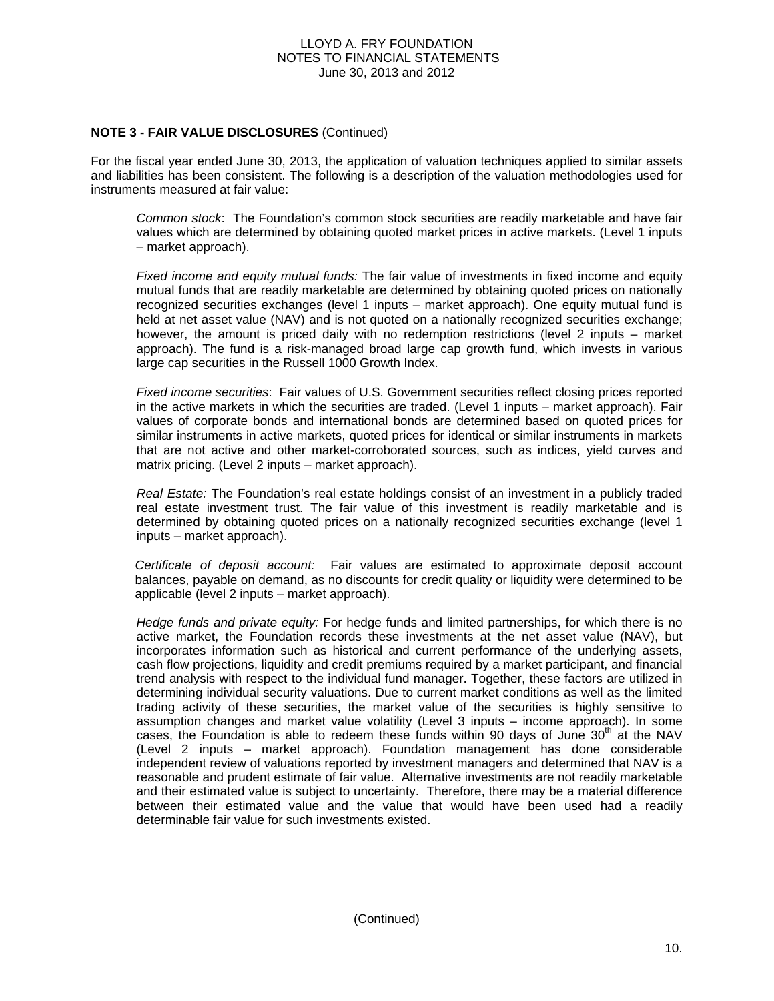For the fiscal year ended June 30, 2013, the application of valuation techniques applied to similar assets and liabilities has been consistent. The following is a description of the valuation methodologies used for instruments measured at fair value:

*Common stock*: The Foundation's common stock securities are readily marketable and have fair values which are determined by obtaining quoted market prices in active markets. (Level 1 inputs – market approach).

*Fixed income and equity mutual funds:* The fair value of investments in fixed income and equity mutual funds that are readily marketable are determined by obtaining quoted prices on nationally recognized securities exchanges (level 1 inputs – market approach). One equity mutual fund is held at net asset value (NAV) and is not quoted on a nationally recognized securities exchange; however, the amount is priced daily with no redemption restrictions (level 2 inputs – market approach). The fund is a risk-managed broad large cap growth fund, which invests in various large cap securities in the Russell 1000 Growth Index.

*Fixed income securities*: Fair values of U.S. Government securities reflect closing prices reported in the active markets in which the securities are traded. (Level 1 inputs – market approach). Fair values of corporate bonds and international bonds are determined based on quoted prices for similar instruments in active markets, quoted prices for identical or similar instruments in markets that are not active and other market-corroborated sources, such as indices, yield curves and matrix pricing. (Level 2 inputs – market approach).

*Real Estate:* The Foundation's real estate holdings consist of an investment in a publicly traded real estate investment trust. The fair value of this investment is readily marketable and is determined by obtaining quoted prices on a nationally recognized securities exchange (level 1 inputs – market approach).

*Certificate of deposit account:* Fair values are estimated to approximate deposit account balances, payable on demand, as no discounts for credit quality or liquidity were determined to be applicable (level 2 inputs – market approach).

*Hedge funds and private equity:* For hedge funds and limited partnerships, for which there is no active market, the Foundation records these investments at the net asset value (NAV), but incorporates information such as historical and current performance of the underlying assets, cash flow projections, liquidity and credit premiums required by a market participant, and financial trend analysis with respect to the individual fund manager. Together, these factors are utilized in determining individual security valuations. Due to current market conditions as well as the limited trading activity of these securities, the market value of the securities is highly sensitive to assumption changes and market value volatility (Level 3 inputs – income approach). In some cases, the Foundation is able to redeem these funds within 90 days of June 30<sup>th</sup> at the NAV (Level 2 inputs – market approach). Foundation management has done considerable independent review of valuations reported by investment managers and determined that NAV is a reasonable and prudent estimate of fair value. Alternative investments are not readily marketable and their estimated value is subject to uncertainty. Therefore, there may be a material difference between their estimated value and the value that would have been used had a readily determinable fair value for such investments existed.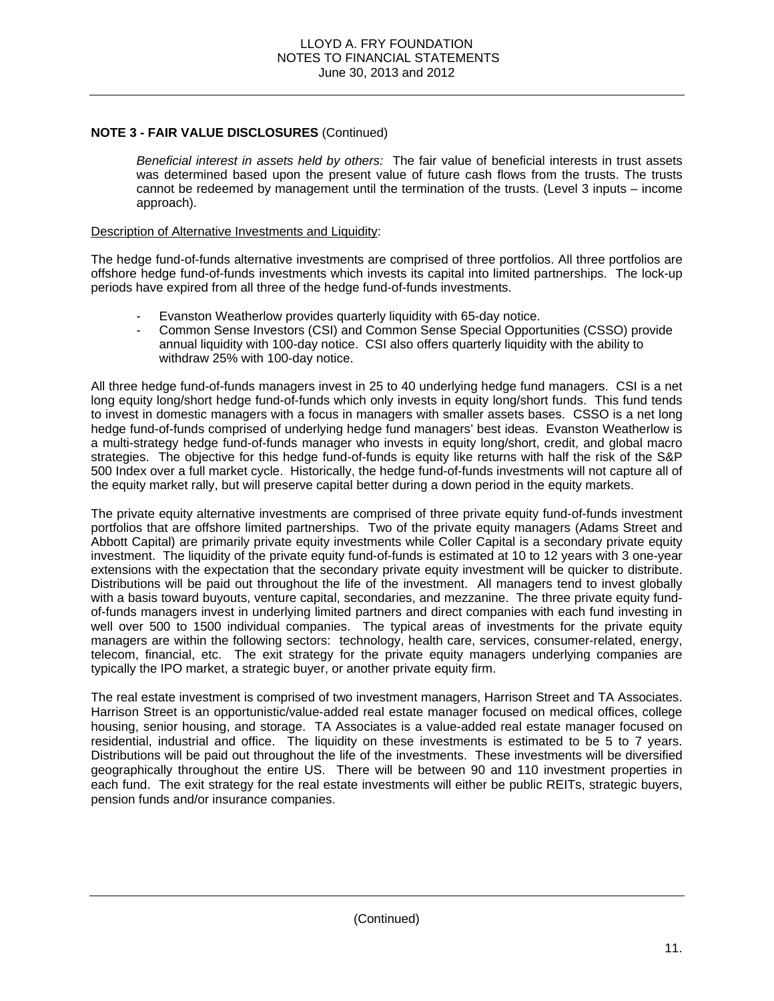*Beneficial interest in assets held by others:* The fair value of beneficial interests in trust assets was determined based upon the present value of future cash flows from the trusts. The trusts cannot be redeemed by management until the termination of the trusts. (Level 3 inputs – income approach).

#### Description of Alternative Investments and Liquidity:

The hedge fund-of-funds alternative investments are comprised of three portfolios. All three portfolios are offshore hedge fund-of-funds investments which invests its capital into limited partnerships. The lock-up periods have expired from all three of the hedge fund-of-funds investments.

- Evanston Weatherlow provides quarterly liquidity with 65-day notice.
- Common Sense Investors (CSI) and Common Sense Special Opportunities (CSSO) provide annual liquidity with 100-day notice. CSI also offers quarterly liquidity with the ability to withdraw 25% with 100-day notice.

All three hedge fund-of-funds managers invest in 25 to 40 underlying hedge fund managers. CSI is a net long equity long/short hedge fund-of-funds which only invests in equity long/short funds. This fund tends to invest in domestic managers with a focus in managers with smaller assets bases. CSSO is a net long hedge fund-of-funds comprised of underlying hedge fund managers' best ideas. Evanston Weatherlow is a multi-strategy hedge fund-of-funds manager who invests in equity long/short, credit, and global macro strategies. The objective for this hedge fund-of-funds is equity like returns with half the risk of the S&P 500 Index over a full market cycle. Historically, the hedge fund-of-funds investments will not capture all of the equity market rally, but will preserve capital better during a down period in the equity markets.

The private equity alternative investments are comprised of three private equity fund-of-funds investment portfolios that are offshore limited partnerships. Two of the private equity managers (Adams Street and Abbott Capital) are primarily private equity investments while Coller Capital is a secondary private equity investment. The liquidity of the private equity fund-of-funds is estimated at 10 to 12 years with 3 one-year extensions with the expectation that the secondary private equity investment will be quicker to distribute. Distributions will be paid out throughout the life of the investment. All managers tend to invest globally with a basis toward buyouts, venture capital, secondaries, and mezzanine. The three private equity fundof-funds managers invest in underlying limited partners and direct companies with each fund investing in well over 500 to 1500 individual companies. The typical areas of investments for the private equity managers are within the following sectors: technology, health care, services, consumer-related, energy, telecom, financial, etc. The exit strategy for the private equity managers underlying companies are typically the IPO market, a strategic buyer, or another private equity firm.

The real estate investment is comprised of two investment managers, Harrison Street and TA Associates. Harrison Street is an opportunistic/value-added real estate manager focused on medical offices, college housing, senior housing, and storage. TA Associates is a value-added real estate manager focused on residential, industrial and office. The liquidity on these investments is estimated to be 5 to 7 years. Distributions will be paid out throughout the life of the investments. These investments will be diversified geographically throughout the entire US. There will be between 90 and 110 investment properties in each fund. The exit strategy for the real estate investments will either be public REITs, strategic buyers, pension funds and/or insurance companies.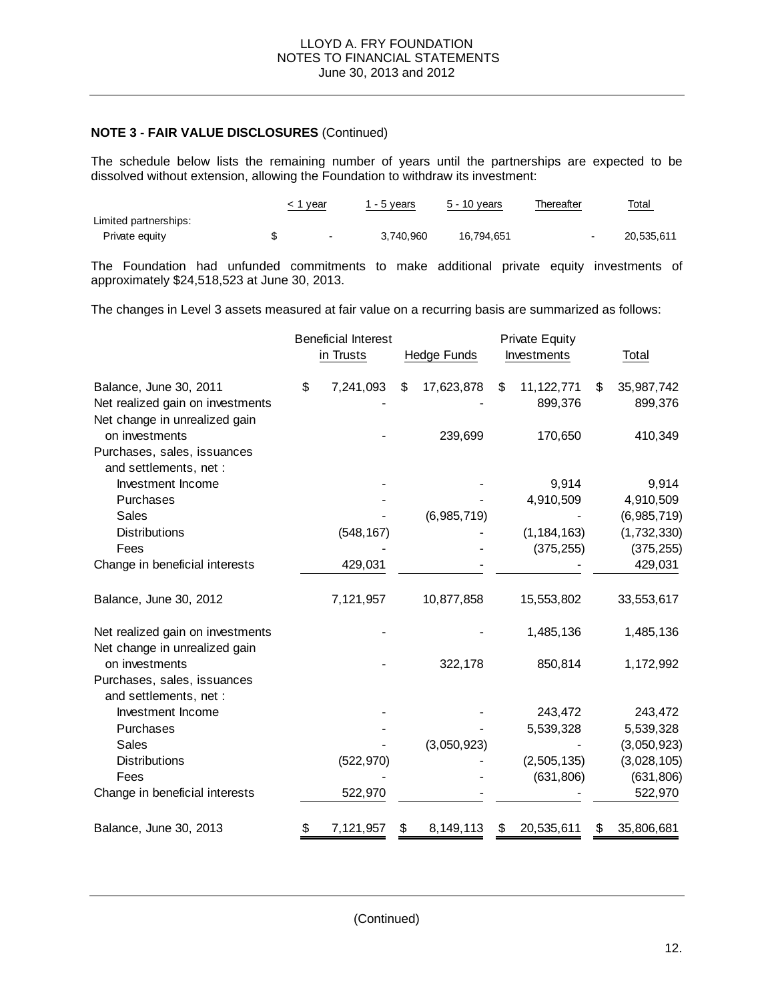The schedule below lists the remaining number of years until the partnerships are expected to be dissolved without extension, allowing the Foundation to withdraw its investment:

|                       | 1 year | 1 - 5 years | 5 - 10 years | Thereafter | <u>Total</u> |
|-----------------------|--------|-------------|--------------|------------|--------------|
| Limited partnerships: |        |             |              |            |              |
| Private equity        | $\sim$ | 3.740.960   | 16.794.651   |            | 20.535.611   |

The Foundation had unfunded commitments to make additional private equity investments of approximately \$24,518,523 at June 30, 2013.

The changes in Level 3 assets measured at fair value on a recurring basis are summarized as follows:

|                                  | <b>Beneficial Interest</b> |                    | <b>Private Equity</b> |                       |
|----------------------------------|----------------------------|--------------------|-----------------------|-----------------------|
|                                  | in Trusts                  | <b>Hedge Funds</b> | Investments           | Total                 |
| Balance, June 30, 2011           | \$<br>7,241,093            | \$<br>17,623,878   | \$<br>11,122,771      | \$<br>35,987,742      |
| Net realized gain on investments |                            |                    | 899,376               | 899,376               |
| Net change in unrealized gain    |                            |                    |                       |                       |
| on investments                   |                            | 239,699            | 170,650               | 410,349               |
| Purchases, sales, issuances      |                            |                    |                       |                       |
| and settlements, net :           |                            |                    |                       |                       |
| Investment Income                |                            |                    | 9,914                 | 9,914                 |
| Purchases                        |                            |                    | 4,910,509             | 4,910,509             |
| <b>Sales</b>                     |                            | (6,985,719)        |                       | (6,985,719)           |
| <b>Distributions</b><br>Fees     | (548, 167)                 |                    | (1, 184, 163)         | (1,732,330)           |
|                                  |                            |                    | (375, 255)            | (375, 255)<br>429,031 |
| Change in beneficial interests   | 429,031                    |                    |                       |                       |
| Balance, June 30, 2012           | 7,121,957                  | 10,877,858         | 15,553,802            | 33,553,617            |
| Net realized gain on investments |                            |                    | 1,485,136             | 1,485,136             |
| Net change in unrealized gain    |                            |                    |                       |                       |
| on investments                   |                            | 322,178            | 850,814               | 1,172,992             |
| Purchases, sales, issuances      |                            |                    |                       |                       |
| and settlements, net :           |                            |                    |                       |                       |
| Investment Income                |                            |                    | 243,472               | 243,472               |
| Purchases                        |                            |                    | 5,539,328             | 5,539,328             |
| <b>Sales</b>                     |                            | (3,050,923)        |                       | (3,050,923)           |
| <b>Distributions</b>             | (522, 970)                 |                    | (2,505,135)           | (3,028,105)           |
| Fees                             |                            |                    | (631, 806)            | (631, 806)            |
| Change in beneficial interests   | 522,970                    |                    |                       | 522,970               |
| Balance, June 30, 2013           | \$<br>7,121,957            | \$<br>8,149,113    | \$<br>20,535,611      | \$<br>35,806,681      |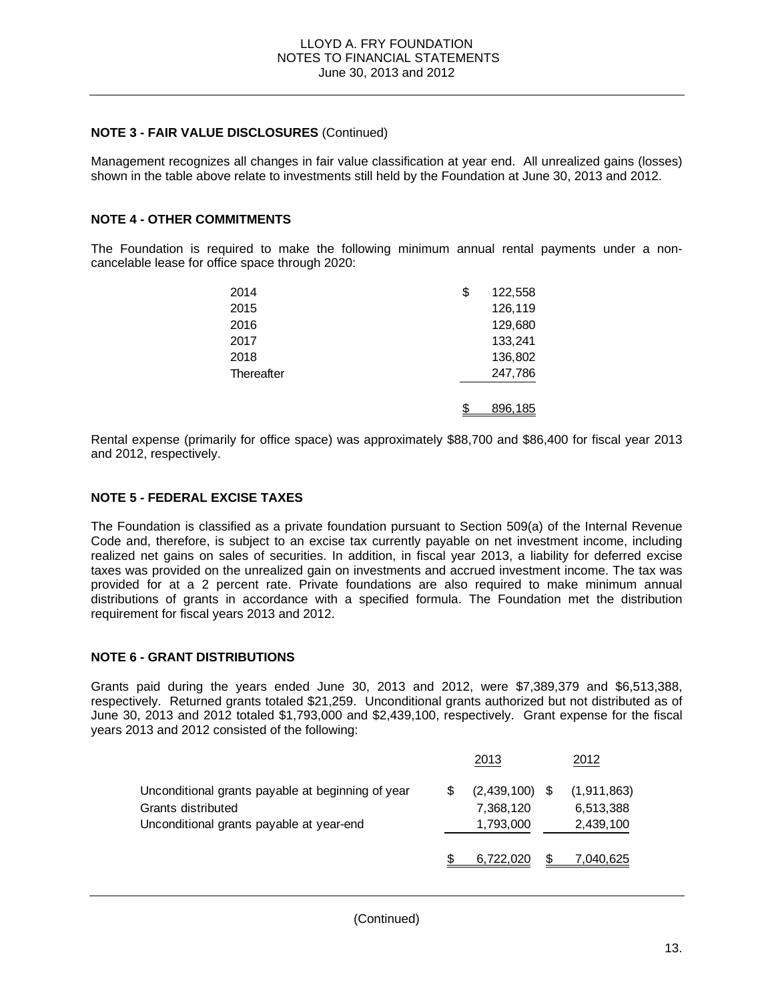Management recognizes all changes in fair value classification at year end. All unrealized gains (losses) shown in the table above relate to investments still held by the Foundation at June 30, 2013 and 2012.

### **NOTE 4 - OTHER COMMITMENTS**

The Foundation is required to make the following minimum annual rental payments under a noncancelable lease for office space through 2020:

| 2014       | \$<br>122,558 |
|------------|---------------|
| 2015       | 126,119       |
| 2016       | 129,680       |
| 2017       | 133,241       |
| 2018       | 136,802       |
| Thereafter | 247,786       |
|            | 896,185       |

Rental expense (primarily for office space) was approximately \$88,700 and \$86,400 for fiscal year 2013 and 2012, respectively.

#### **NOTE 5 - FEDERAL EXCISE TAXES**

The Foundation is classified as a private foundation pursuant to Section 509(a) of the Internal Revenue Code and, therefore, is subject to an excise tax currently payable on net investment income, including realized net gains on sales of securities. In addition, in fiscal year 2013, a liability for deferred excise taxes was provided on the unrealized gain on investments and accrued investment income. The tax was provided for at a 2 percent rate. Private foundations are also required to make minimum annual distributions of grants in accordance with a specified formula. The Foundation met the distribution requirement for fiscal years 2013 and 2012.

#### **NOTE 6 - GRANT DISTRIBUTIONS**

Grants paid during the years ended June 30, 2013 and 2012, were \$7,389,379 and \$6,513,388, respectively. Returned grants totaled \$21,259. Unconditional grants authorized but not distributed as of June 30, 2013 and 2012 totaled \$1,793,000 and \$2,439,100, respectively. Grant expense for the fiscal years 2013 and 2012 consisted of the following:

|                                                                                                                     | 2013                                       | 2012                                    |
|---------------------------------------------------------------------------------------------------------------------|--------------------------------------------|-----------------------------------------|
| Unconditional grants payable at beginning of year<br>Grants distributed<br>Unconditional grants payable at year-end | $(2,439,100)$ \$<br>7,368,120<br>1,793,000 | (1, 911, 863)<br>6,513,388<br>2,439,100 |
|                                                                                                                     | 6,722,020                                  | <u>7,040,625</u>                        |